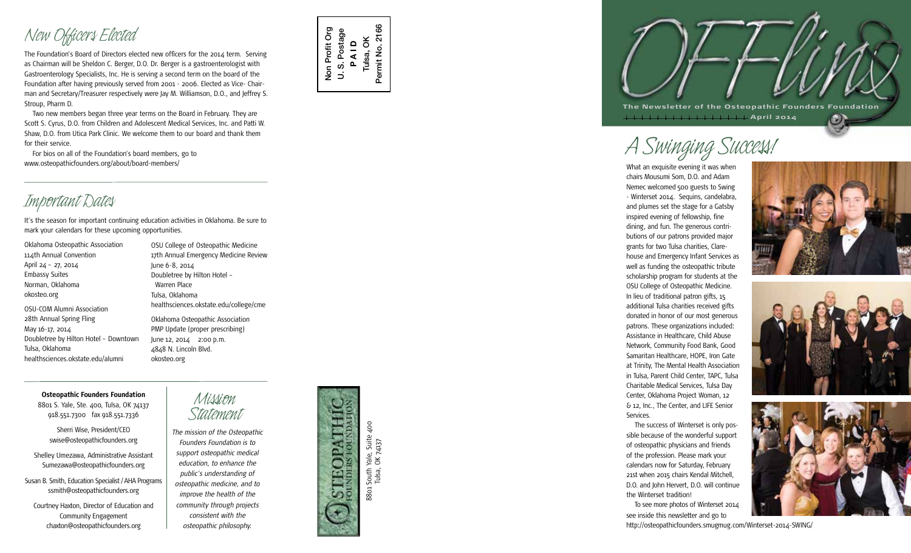# *New Officers Elected*

The Foundation's Board of Directors elected new officers for the 2014 term. Serving as Chairman will be Sheldon C. Berger, D.O. Dr. Berger is a gastroenterologist with Gastroenterology Specialists, Inc. He is serving a second term on the board of the Foundation after having previously served from 2001 - 2006. Elected as Vice- Chair man and Secretary/Treasurer respectively were Jay M. Williamson, D.O., and Jeffrey S. Stroup, Pharm D.

Two new members began three year terms on the Board in February. They are Scott S. Cyrus, D.O. from Children and Adolescent Medical Services, Inc. and Patti W. Shaw, D.O. from Utica Park Clinic. We welcome them to our board and thank them for their service.

For bios on all of the Foundation's board members, go to www.osteopathicfounders.org/about/board-members/

It's the season for important continuing education activities in Oklahoma. Be sure to *Important Dates* mark your calendars for these upcoming opportunities.

Oklahoma Osteopathic Association 114th Annual Convention April 24 – 27, 2014 Embassy Suites Norman, Oklahoma okosteo.org OSU-COM Alumni Association 28th Annual Spring Fling May 16-17, 2014 Doubletree by Hilton Hotel – Downtown Tulsa, Oklahoma healthsciences.okstate.edu/alumni

OSU College of Osteopathic Medicine 17th Annual Emergency Medicine Review June 6-8, 2014 Doubletree by Hilton Hotel – Warren Place Tulsa, Oklahoma healthsciences.okstate.edu/college/cme Oklahoma Osteopathic Association PMP Update (proper prescribing) June 12, 2014 2:00 p.m. 4848 N. Lincoln Blvd. okosteo.org

### **Osteopathic Founders Foundation**

8801 S. Yale, Ste. 400, Tulsa, OK 74137 918.551.7300 fax 918.551.7336

Sherri Wise, President/CEO swise@osteopathicfounders.org

Shelley Umezawa, Administrative Assistant Sumezawa@osteopathicfounders.org

Susan B. Smith, Education Specialist / AHA Programs ssmith@osteopathicfounders.org

Courtney Haxton, Director of Education and Community Engagement chaxton@osteopathicfounders.org

*Mission*



*Statement The mission of the Osteopathic Founders Foundation is to support osteopathic medical education, to enhance the public's understanding of osteopathic medicine, and to improve the health of the community through projects consistent with the osteopathic philosophy.*



Non Profit Org U. S. Postage **P A I D** Tulsa, OK Permit No. 2166

 $\overline{\mathbf{C}}$ 

Non Profit Org S. Postage 2166

Permit No.

Tulsa, OK 74137

**The Newsletter of the Osteopathic Founders Foundation April 2014**

*A Swinging Success!*

What an exquisite evening it was when chairs Mousumi Som, D.O. and Adam Nemec welcomed 500 guests to Swing - Winterset 2014. Sequins, candelabra, and plumes set the stage for a Gatsby inspired evening of fellowship, fine dining, and fun. The generous contri butions of our patrons provided major grants for two Tulsa charities, Clare house and Emergency Infant Services as well as funding the osteopathic tribute scholarship program for students at the OSU College of Osteopathic Medicine. In lieu of traditional patron gifts, 15 additional Tulsa charities received gifts donated in honor of our most generous patrons. These organizations included: Assistance in Healthcare, Child Abuse Network, Community Food Bank, Good Samaritan Healthcare, HOPE, Iron Gate at Trinity, The Mental Health Association in Tulsa, Parent Child Center, TAPC, Tulsa Charitable Medical Services, Tulsa Day Center, Oklahoma Project Woman, 12 & 12, Inc., The Center, and LIFE Senior Services.

The success of Winterset is only pos sible because of the wonderful support of osteopathic physicians and friends of the profession. Please mark your calendars now for Saturday, February 21st when 2015 chairs Kendal Mitchell, D.O. and John Hervert, D.O. will continue the Winterset tradition!

To see more photos of Winterset 2014 see inside this newsletter and go to

http://osteopathicfounders.smugmug.com/Winterset-2014-SWING/



 $\odot$